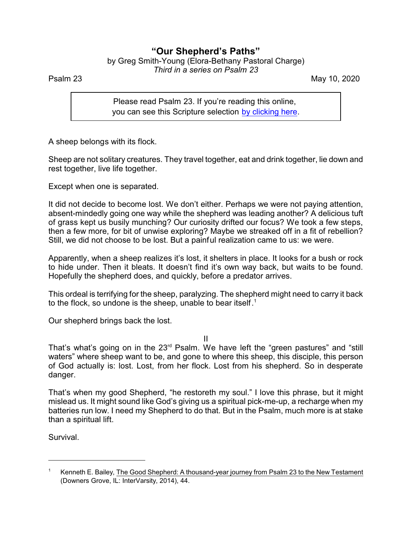## **"Our Shepherd's Paths"**

by Greg Smith-Young (Elora-Bethany Pastoral Charge) *Third in a series on Psalm 23*

Psalm 23 May 10, 2020

Please read Psalm 23. If you're reading this online, you can see this Scripture selection [by clicking here](https://www.biblegateway.com/passage/?search=Psalm+23&version=CEB).

A sheep belongs with its flock.

Sheep are not solitary creatures. They travel together, eat and drink together, lie down and rest together, live life together.

Except when one is separated.

It did not decide to become lost. We don't either. Perhaps we were not paying attention, absent-mindedly going one way while the shepherd was leading another? A delicious tuft of grass kept us busily munching? Our curiosity drifted our focus? We took a few steps, then a few more, for bit of unwise exploring? Maybe we streaked off in a fit of rebellion? Still, we did not choose to be lost. But a painful realization came to us: we were.

Apparently, when a sheep realizes it's lost, it shelters in place. It looks for a bush or rock to hide under. Then it bleats. It doesn't find it's own way back, but waits to be found. Hopefully the shepherd does, and quickly, before a predator arrives.

This ordeal is terrifying for the sheep, paralyzing. The shepherd might need to carry it back to the flock, so undone is the sheep, unable to bear itself.<sup>1</sup>

Our shepherd brings back the lost.

II

That's what's going on in the 23<sup>rd</sup> Psalm. We have left the "green pastures" and "still waters" where sheep want to be, and gone to where this sheep, this disciple, this person of God actually is: lost. Lost, from her flock. Lost from his shepherd. So in desperate danger.

That's when my good Shepherd, "he restoreth my soul." I love this phrase, but it might mislead us. It might sound like God's giving us a spiritual pick-me-up, a recharge when my batteries run low. I need my Shepherd to do that. But in the Psalm, much more is at stake than a spiritual lift.

Survival.

Kenneth E. Bailey, The Good Shepherd: A thousand-year journey from Psalm 23 to the New Testament (Downers Grove, IL: InterVarsity, 2014), 44.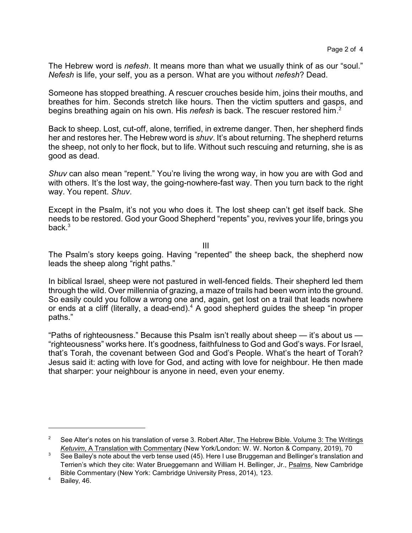The Hebrew word is *nefesh*. It means more than what we usually think of as our "soul." *Nefesh* is life, your self, you as a person. What are you without *nefesh*? Dead.

Someone has stopped breathing. A rescuer crouches beside him, joins their mouths, and breathes for him. Seconds stretch like hours. Then the victim sputters and gasps, and begins breathing again on his own. His *nefesh* is back. The rescuer restored him. 2

Back to sheep. Lost, cut-off, alone, terrified, in extreme danger. Then, her shepherd finds her and restores her. The Hebrew word is *shuv*. It's about returning. The shepherd returns the sheep, not only to her flock, but to life. Without such rescuing and returning, she is as good as dead.

*Shuv* can also mean "repent." You're living the wrong way, in how you are with God and with others. It's the lost way, the going-nowhere-fast way. Then you turn back to the right way. You repent. *Shuv*.

Except in the Psalm, it's not you who does it. The lost sheep can't get itself back. She needs to be restored. God your Good Shepherd "repents" you, revives your life, brings you back. $3$ 

III

The Psalm's story keeps going. Having "repented" the sheep back, the shepherd now leads the sheep along "right paths."

In biblical Israel, sheep were not pastured in well-fenced fields. Their shepherd led them through the wild. Over millennia of grazing, a maze of trails had been worn into the ground. So easily could you follow a wrong one and, again, get lost on a trail that leads nowhere or ends at a cliff (literally, a dead-end).<sup>4</sup> A good shepherd guides the sheep "in proper paths."

"Paths of righteousness." Because this Psalm isn't really about sheep — it's about us — "righteousness" works here. It's goodness, faithfulness to God and God's ways. For Israel, that's Torah, the covenant between God and God's People. What's the heart of Torah? Jesus said it: acting with love for God, and acting with love for neighbour. He then made that sharper: your neighbour is anyone in need, even your enemy.

<sup>&</sup>lt;sup>2</sup> See Alter's notes on his translation of verse 3. Robert Alter, The Hebrew Bible. Volume 3: The Writings *Ketuvim*, A Translation with Commentary (New York/London: W. W. Norton & Company, 2019), 70

<sup>&</sup>lt;sup>3</sup> See Bailey's note about the verb tense used (45). Here I use Bruggeman and Bellinger's translation and Terrien's which they cite: Water Brueggemann and William H. Bellinger, Jr., Psalms, New Cambridge Bible Commentary (New York: Cambridge University Press, 2014), 123.

<sup>4</sup> Bailey, 46.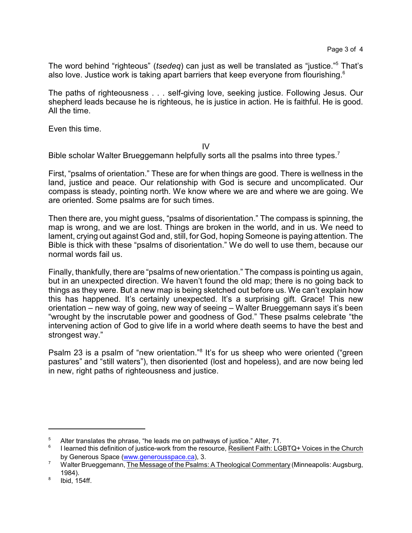The word behind "righteous" (*tsedeq*) can just as well be translated as "justice."<sup>5</sup> That's also love. Justice work is taking apart barriers that keep everyone from flourishing. $^{\rm 6}$ 

The paths of righteousness . . . self-giving love, seeking justice. Following Jesus. Our shepherd leads because he is righteous, he is justice in action. He is faithful. He is good. All the time.

Even this time.

## IV

Bible scholar Walter Brueggemann helpfully sorts all the psalms into three types.<sup>7</sup>

First, "psalms of orientation." These are for when things are good. There is wellness in the land, justice and peace. Our relationship with God is secure and uncomplicated. Our compass is steady, pointing north. We know where we are and where we are going. We are oriented. Some psalms are for such times.

Then there are, you might guess, "psalms of disorientation." The compass is spinning, the map is wrong, and we are lost. Things are broken in the world, and in us. We need to lament, crying out against God and, still, for God, hoping Someone is paying attention. The Bible is thick with these "psalms of disorientation." We do well to use them, because our normal words fail us.

Finally, thankfully, there are "psalms of new orientation." The compass is pointing us again, but in an unexpected direction. We haven't found the old map; there is no going back to things as they were. But a new map is being sketched out before us. We can't explain how this has happened. It's certainly unexpected. It's a surprising gift. Grace! This new orientation – new way of going, new way of seeing – Walter Brueggemann says it's been "wrought by the inscrutable power and goodness of God." These psalms celebrate "the intervening action of God to give life in a world where death seems to have the best and strongest way."

Psalm 23 is a psalm of "new orientation."<sup>8</sup> It's for us sheep who were oriented ("green pastures" and "still waters"), then disoriented (lost and hopeless), and are now being led in new, right paths of righteousness and justice.

<sup>&</sup>lt;sup>5</sup> Alter translates the phrase, "he leads me on pathways of justice." Alter, 71.

<sup>6</sup> I learned this definition of justice-work from the resource, Resilient Faith: LGBTQ+ Voices in the Church by Generous Space [\(www.generousspace.ca](https://www.generousspace.ca)), 3.

<sup>&</sup>lt;sup>7</sup> Walter Brueggemann, The Message of the Psalms: A Theological Commentary (Minneapolis: Augsburg, 1984).

<sup>8</sup> Ibid, 154ff.